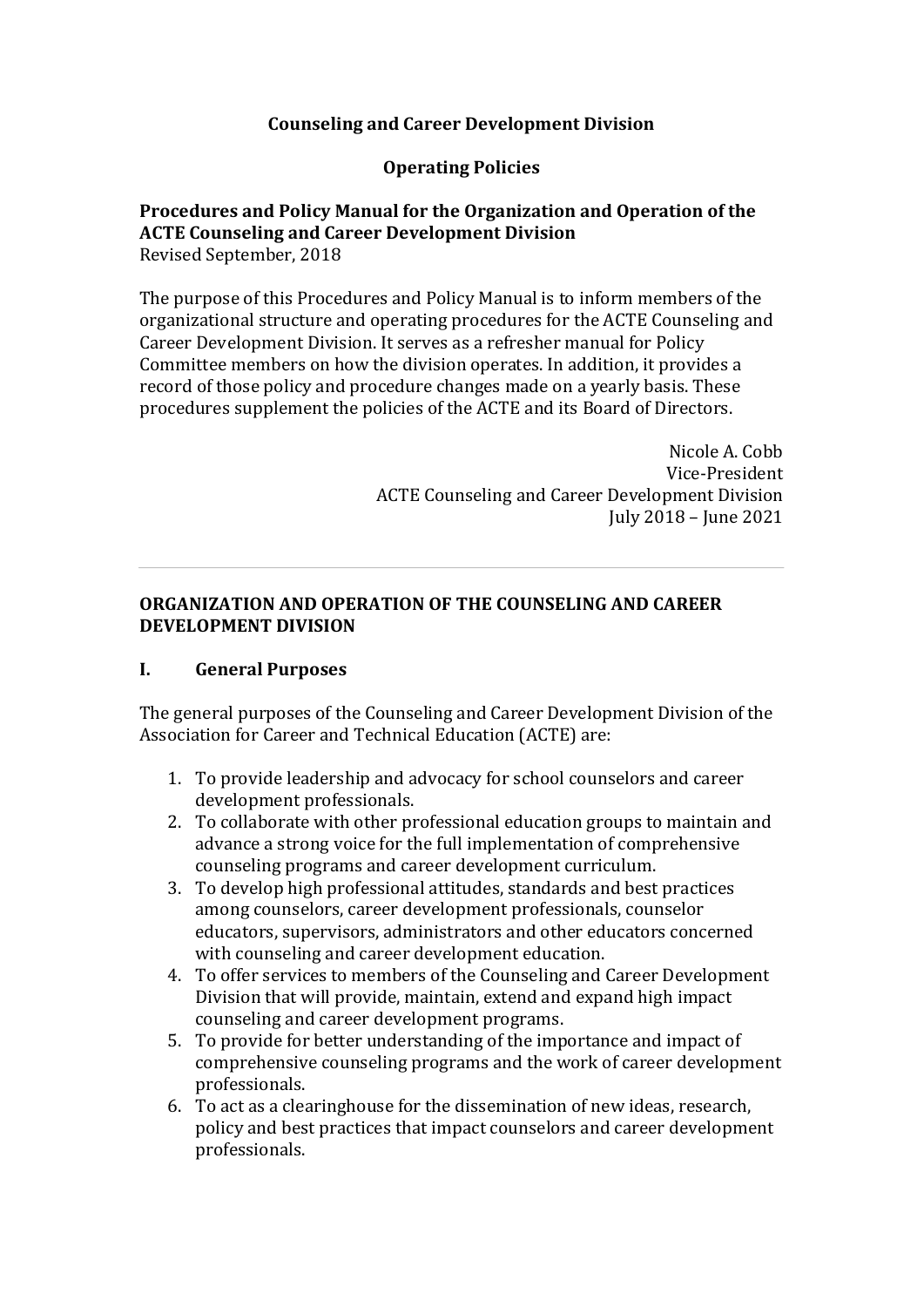### **Counseling and Career Development Division**

#### **Operating Policies**

# **Procedures and Policy Manual for the Organization and Operation of the ACTE Counseling and Career Development Division**

Revised September, 2018

The purpose of this Procedures and Policy Manual is to inform members of the organizational structure and operating procedures for the ACTE Counseling and Career Development Division. It serves as a refresher manual for Policy Committee members on how the division operates. In addition, it provides a record of those policy and procedure changes made on a yearly basis. These procedures supplement the policies of the ACTE and its Board of Directors.

> Nicole A. Cobb Vice-President ACTE Counseling and Career Development Division July 2018 - June 2021

#### **ORGANIZATION AND OPERATION OF THE COUNSELING AND CAREER DEVELOPMENT DIVISION**

#### **I. General Purposes**

The general purposes of the Counseling and Career Development Division of the Association for Career and Technical Education (ACTE) are:

- 1. To provide leadership and advocacy for school counselors and career development professionals.
- 2. To collaborate with other professional education groups to maintain and advance a strong voice for the full implementation of comprehensive counseling programs and career development curriculum.
- 3. To develop high professional attitudes, standards and best practices among counselors, career development professionals, counselor educators, supervisors, administrators and other educators concerned with counseling and career development education.
- 4. To offer services to members of the Counseling and Career Development Division that will provide, maintain, extend and expand high impact counseling and career development programs.
- 5. To provide for better understanding of the importance and impact of comprehensive counseling programs and the work of career development professionals.
- 6. To act as a clearinghouse for the dissemination of new ideas, research, policy and best practices that impact counselors and career development professionals.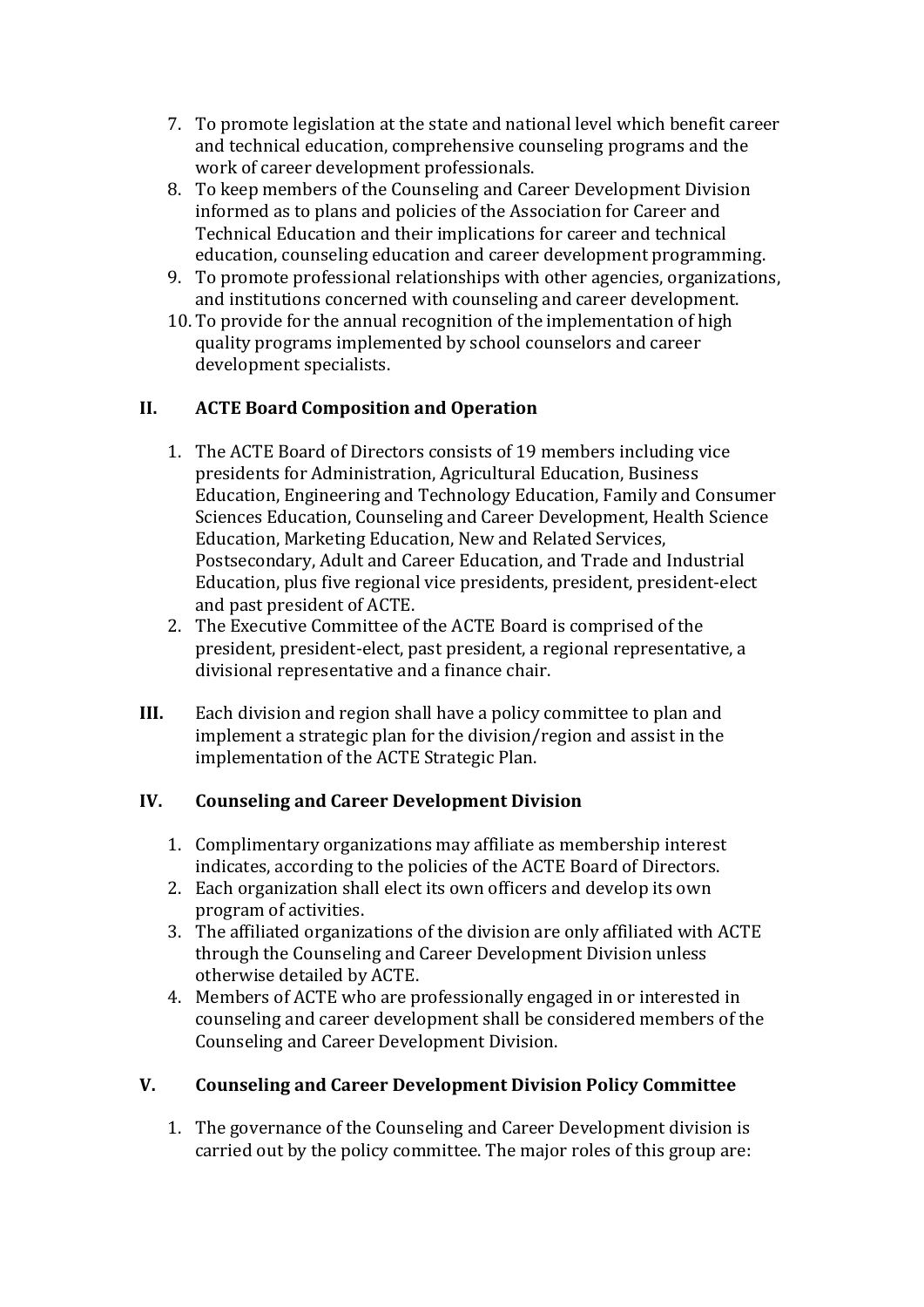- 7. To promote legislation at the state and national level which benefit career and technical education, comprehensive counseling programs and the work of career development professionals.
- 8. To keep members of the Counseling and Career Development Division informed as to plans and policies of the Association for Career and Technical Education and their implications for career and technical education, counseling education and career development programming.
- 9. To promote professional relationships with other agencies, organizations, and institutions concerned with counseling and career development.
- 10. To provide for the annual recognition of the implementation of high quality programs implemented by school counselors and career development specialists.

### **II. ACTE Board Composition and Operation**

- 1. The ACTE Board of Directors consists of 19 members including vice presidents for Administration, Agricultural Education, Business Education, Engineering and Technology Education, Family and Consumer Sciences Education, Counseling and Career Development, Health Science Education, Marketing Education, New and Related Services, Postsecondary, Adult and Career Education, and Trade and Industrial Education, plus five regional vice presidents, president, president-elect and past president of ACTE.
- 2. The Executive Committee of the ACTE Board is comprised of the president, president-elect, past president, a regional representative, a divisional representative and a finance chair.
- **III.** Each division and region shall have a policy committee to plan and implement a strategic plan for the division/region and assist in the implementation of the ACTE Strategic Plan.

### **IV. Counseling and Career Development Division**

- 1. Complimentary organizations may affiliate as membership interest indicates, according to the policies of the ACTE Board of Directors.
- 2. Each organization shall elect its own officers and develop its own program of activities.
- 3. The affiliated organizations of the division are only affiliated with ACTE through the Counseling and Career Development Division unless otherwise detailed by ACTE.
- 4. Members of ACTE who are professionally engaged in or interested in counseling and career development shall be considered members of the Counseling and Career Development Division.

## **V. Counseling and Career Development Division Policy Committee**

1. The governance of the Counseling and Career Development division is carried out by the policy committee. The major roles of this group are: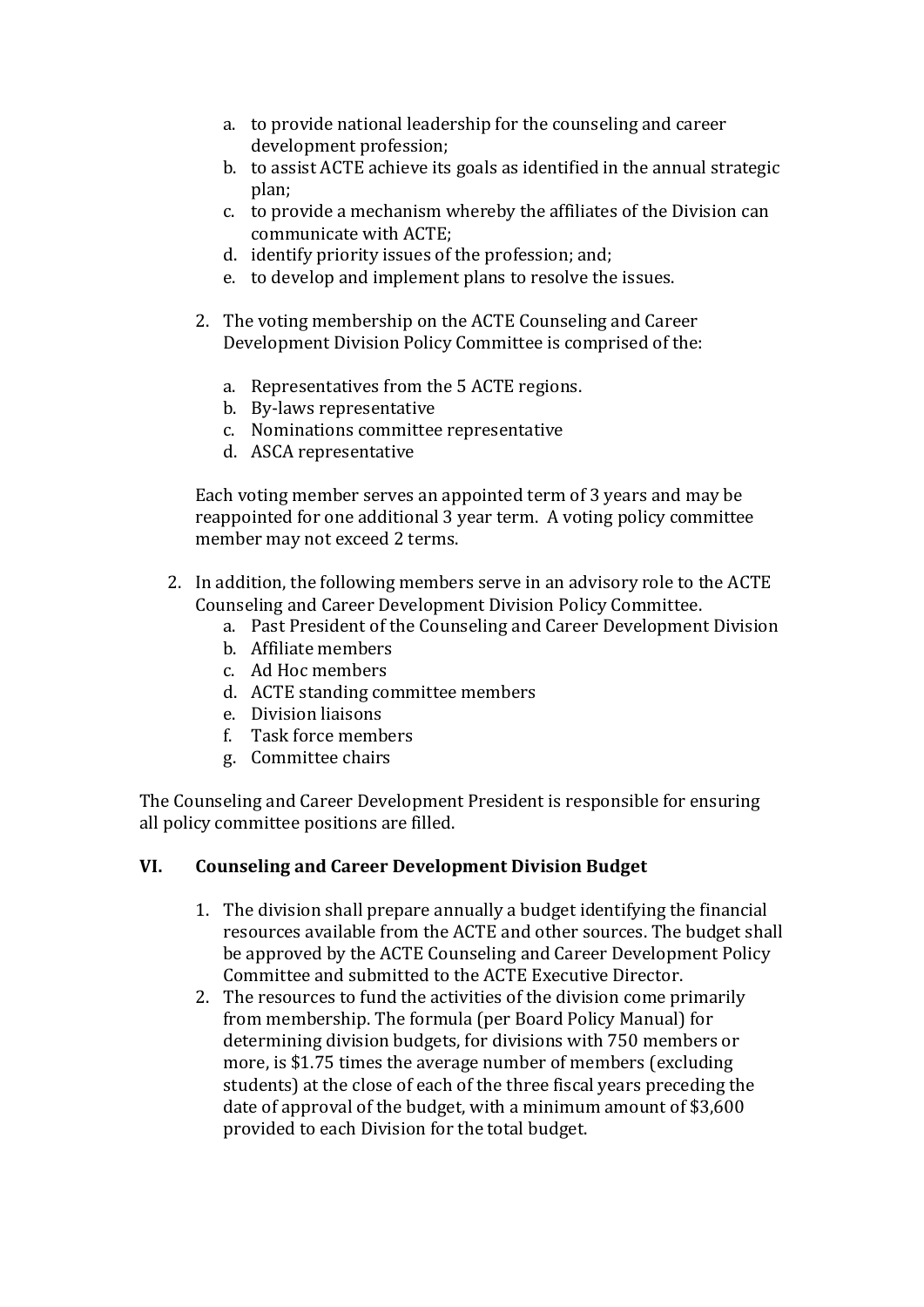- a. to provide national leadership for the counseling and career development profession;
- b. to assist ACTE achieve its goals as identified in the annual strategic plan;
- c. to provide a mechanism whereby the affiliates of the Division can communicate with ACTE;
- d. identify priority issues of the profession; and;
- e. to develop and implement plans to resolve the issues.
- 2. The voting membership on the ACTE Counseling and Career Development Division Policy Committee is comprised of the:
	- a. Representatives from the 5 ACTE regions.
	- b. By-laws representative
	- c. Nominations committee representative
	- d. ASCA representative

Each voting member serves an appointed term of 3 years and may be reappointed for one additional 3 year term. A voting policy committee member may not exceed 2 terms.

- 2. In addition, the following members serve in an advisory role to the ACTE Counseling and Career Development Division Policy Committee.
	- a. Past President of the Counseling and Career Development Division
	- b. Affiliate members
	- c. Ad Hoc members
	- d. ACTE standing committee members
	- e. Division liaisons
	- f. Task force members
	- g. Committee chairs

The Counseling and Career Development President is responsible for ensuring all policy committee positions are filled.

### **VI. Counseling and Career Development Division Budget**

- 1. The division shall prepare annually a budget identifying the financial resources available from the ACTE and other sources. The budget shall be approved by the ACTE Counseling and Career Development Policy Committee and submitted to the ACTE Executive Director.
- 2. The resources to fund the activities of the division come primarily from membership. The formula (per Board Policy Manual) for determining division budgets, for divisions with 750 members or more, is \$1.75 times the average number of members (excluding students) at the close of each of the three fiscal years preceding the date of approval of the budget, with a minimum amount of  $$3,600$ provided to each Division for the total budget.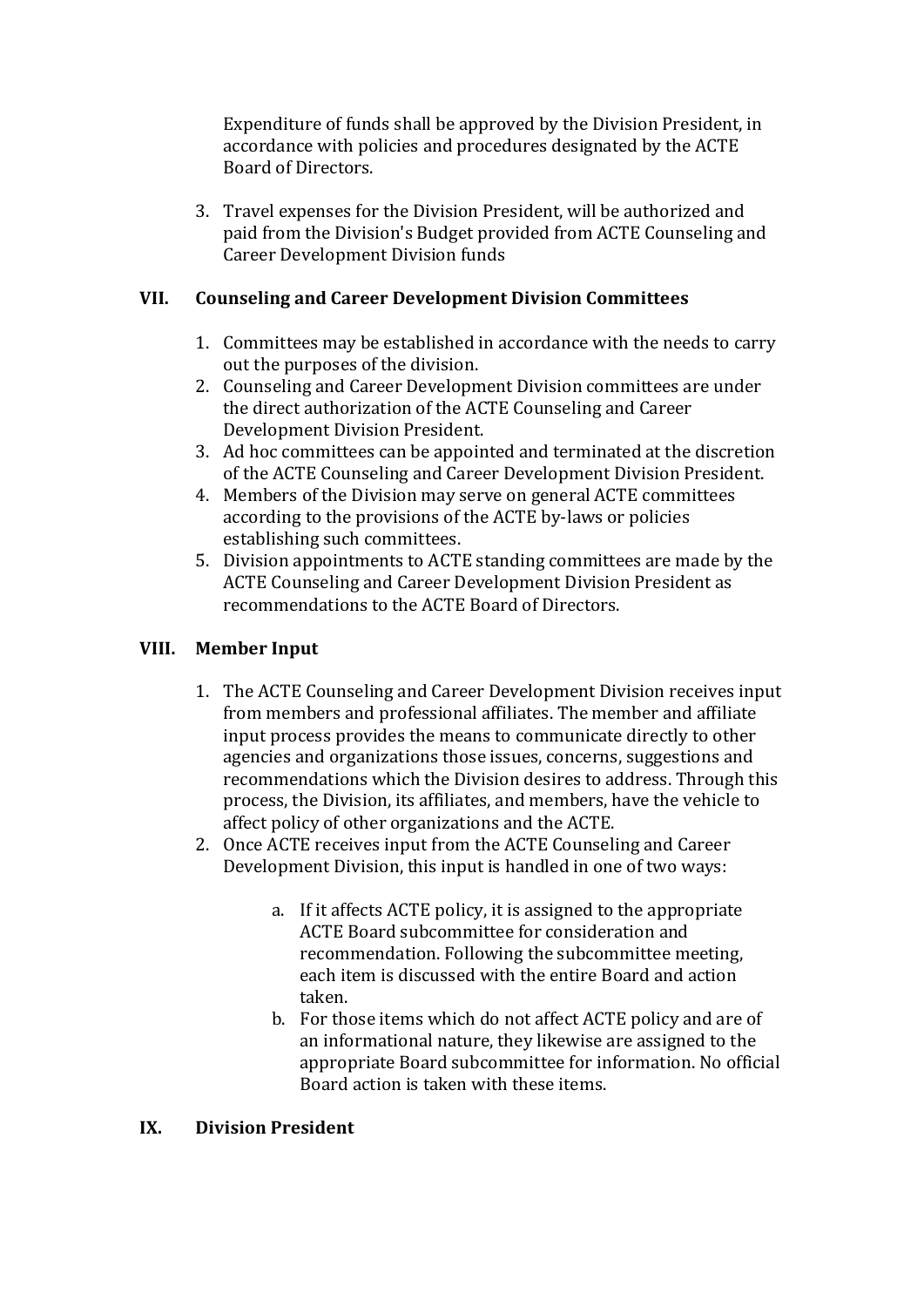Expenditure of funds shall be approved by the Division President, in accordance with policies and procedures designated by the ACTE Board of Directors. 

3. Travel expenses for the Division President, will be authorized and paid from the Division's Budget provided from ACTE Counseling and Career Development Division funds

#### **VII. Counseling and Career Development Division Committees**

- 1. Committees may be established in accordance with the needs to carry out the purposes of the division.
- 2. Counseling and Career Development Division committees are under the direct authorization of the ACTE Counseling and Career Development Division President.
- 3. Ad hoc committees can be appointed and terminated at the discretion of the ACTE Counseling and Career Development Division President.
- 4. Members of the Division may serve on general ACTE committees according to the provisions of the ACTE by-laws or policies establishing such committees.
- 5. Division appointments to ACTE standing committees are made by the ACTE Counseling and Career Development Division President as recommendations to the ACTE Board of Directors.

### **VIII. Member Input**

- 1. The ACTE Counseling and Career Development Division receives input from members and professional affiliates. The member and affiliate input process provides the means to communicate directly to other agencies and organizations those issues, concerns, suggestions and recommendations which the Division desires to address. Through this process, the Division, its affiliates, and members, have the vehicle to affect policy of other organizations and the ACTE.
- 2. Once ACTE receives input from the ACTE Counseling and Career Development Division, this input is handled in one of two ways:
	- a. If it affects ACTE policy, it is assigned to the appropriate ACTE Board subcommittee for consideration and recommendation. Following the subcommittee meeting, each item is discussed with the entire Board and action taken.
	- b. For those items which do not affect ACTE policy and are of an informational nature, they likewise are assigned to the appropriate Board subcommittee for information. No official Board action is taken with these items.

#### **IX. Division President**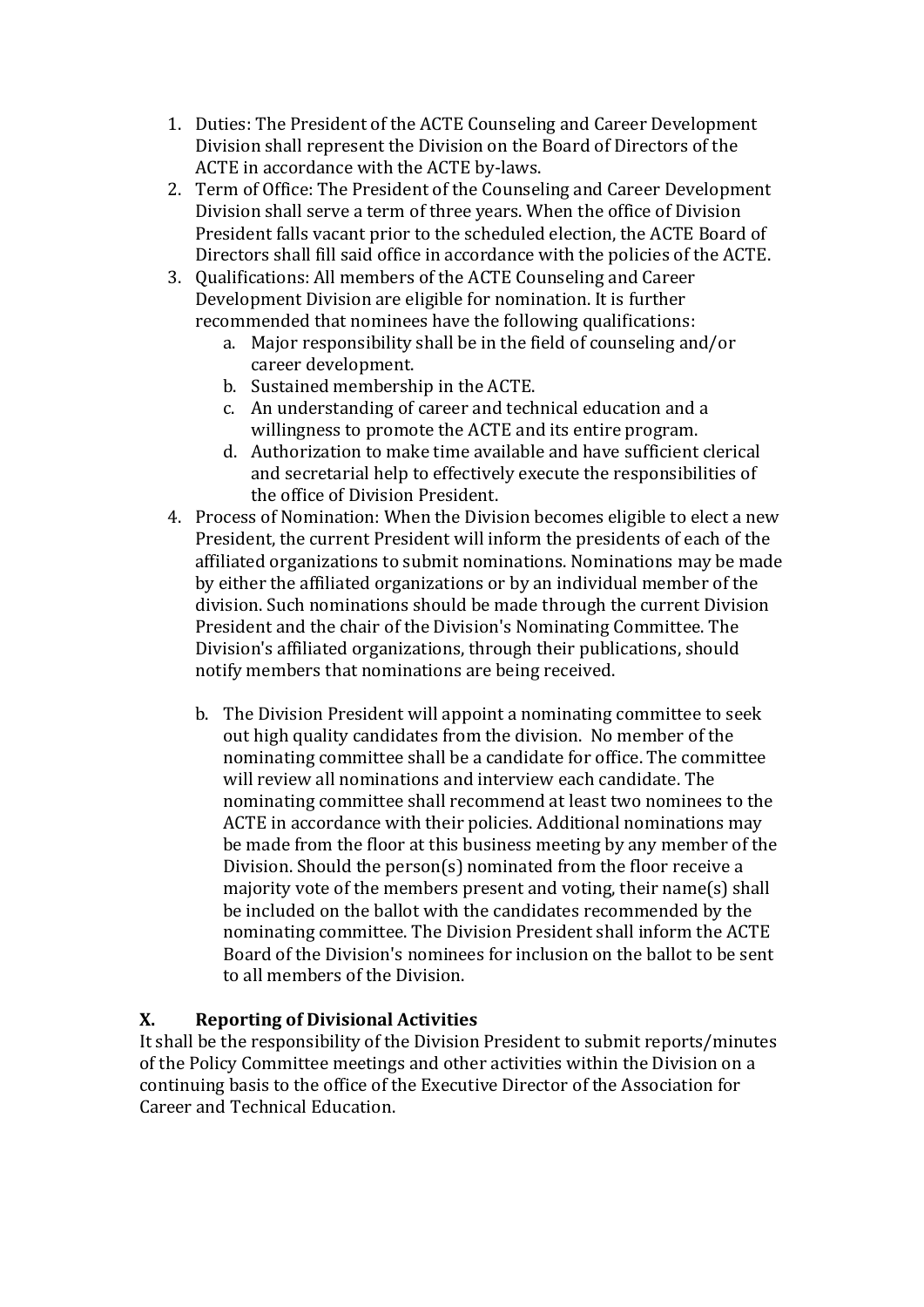- 1. Duties: The President of the ACTE Counseling and Career Development Division shall represent the Division on the Board of Directors of the ACTE in accordance with the ACTE by-laws.
- 2. Term of Office: The President of the Counseling and Career Development Division shall serve a term of three years. When the office of Division President falls vacant prior to the scheduled election, the ACTE Board of Directors shall fill said office in accordance with the policies of the ACTE.
- 3. Qualifications: All members of the ACTE Counseling and Career Development Division are eligible for nomination. It is further recommended that nominees have the following qualifications:
	- a. Major responsibility shall be in the field of counseling and/or career development.
	- b. Sustained membership in the ACTE.
	- c. An understanding of career and technical education and a willingness to promote the ACTE and its entire program.
	- d. Authorization to make time available and have sufficient clerical and secretarial help to effectively execute the responsibilities of the office of Division President.
- 4. Process of Nomination: When the Division becomes eligible to elect a new President, the current President will inform the presidents of each of the affiliated organizations to submit nominations. Nominations may be made by either the affiliated organizations or by an individual member of the division. Such nominations should be made through the current Division President and the chair of the Division's Nominating Committee. The Division's affiliated organizations, through their publications, should notify members that nominations are being received.
	- b. The Division President will appoint a nominating committee to seek out high quality candidates from the division. No member of the nominating committee shall be a candidate for office. The committee will review all nominations and interview each candidate. The nominating committee shall recommend at least two nominees to the ACTE in accordance with their policies. Additional nominations may be made from the floor at this business meeting by any member of the Division. Should the person(s) nominated from the floor receive a majority vote of the members present and voting, their name(s) shall be included on the ballot with the candidates recommended by the nominating committee. The Division President shall inform the ACTE Board of the Division's nominees for inclusion on the ballot to be sent to all members of the Division.

### **X. Reporting of Divisional Activities**

It shall be the responsibility of the Division President to submit reports/minutes of the Policy Committee meetings and other activities within the Division on a continuing basis to the office of the Executive Director of the Association for Career and Technical Education.